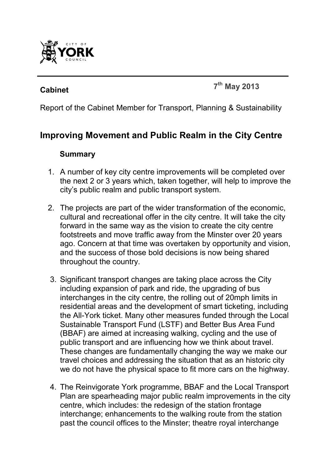

# **Cabinet <sup>7</sup>**

**th May 2013** 

Report of the Cabinet Member for Transport, Planning & Sustainability

## **Improving Movement and Public Realm in the City Centre**

#### **Summary**

- 1. A number of key city centre improvements will be completed over the next 2 or 3 years which, taken together, will help to improve the city's public realm and public transport system.
- 2. The projects are part of the wider transformation of the economic, cultural and recreational offer in the city centre. It will take the city forward in the same way as the vision to create the city centre footstreets and move traffic away from the Minster over 20 years ago. Concern at that time was overtaken by opportunity and vision, and the success of those bold decisions is now being shared throughout the country.
- 3. Significant transport changes are taking place across the City including expansion of park and ride, the upgrading of bus interchanges in the city centre, the rolling out of 20mph limits in residential areas and the development of smart ticketing, including the All-York ticket. Many other measures funded through the Local Sustainable Transport Fund (LSTF) and Better Bus Area Fund (BBAF) are aimed at increasing walking, cycling and the use of public transport and are influencing how we think about travel. These changes are fundamentally changing the way we make our travel choices and addressing the situation that as an historic city we do not have the physical space to fit more cars on the highway.
- 4. The Reinvigorate York programme, BBAF and the Local Transport Plan are spearheading major public realm improvements in the city centre, which includes: the redesign of the station frontage interchange; enhancements to the walking route from the station past the council offices to the Minster; theatre royal interchange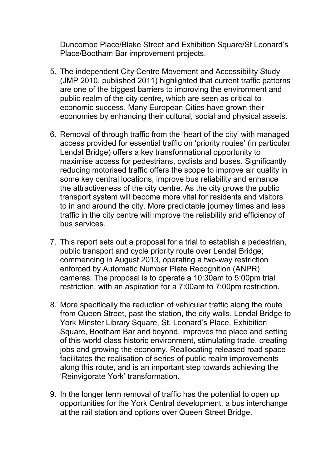Duncombe Place/Blake Street and Exhibition Square/St Leonard's Place/Bootham Bar improvement projects.

- 5. The independent City Centre Movement and Accessibility Study (JMP 2010, published 2011) highlighted that current traffic patterns are one of the biggest barriers to improving the environment and public realm of the city centre, which are seen as critical to economic success. Many European Cities have grown their economies by enhancing their cultural, social and physical assets.
- 6. Removal of through traffic from the 'heart of the city' with managed access provided for essential traffic on 'priority routes' (in particular Lendal Bridge) offers a key transformational opportunity to maximise access for pedestrians, cyclists and buses. Significantly reducing motorised traffic offers the scope to improve air quality in some key central locations, improve bus reliability and enhance the attractiveness of the city centre. As the city grows the public transport system will become more vital for residents and visitors to in and around the city. More predictable journey times and less traffic in the city centre will improve the reliability and efficiency of bus services.
- 7. This report sets out a proposal for a trial to establish a pedestrian, public transport and cycle priority route over Lendal Bridge; commencing in August 2013, operating a two-way restriction enforced by Automatic Number Plate Recognition (ANPR) cameras. The proposal is to operate a 10:30am to 5:00pm trial restriction, with an aspiration for a 7:00am to 7:00pm restriction.
- 8. More specifically the reduction of vehicular traffic along the route from Queen Street, past the station, the city walls, Lendal Bridge to York Minster Library Square, St. Leonard's Place, Exhibition Square, Bootham Bar and beyond, improves the place and setting of this world class historic environment, stimulating trade, creating jobs and growing the economy. Reallocating released road space facilitates the realisation of series of public realm improvements along this route, and is an important step towards achieving the 'Reinvigorate York' transformation.
- 9. In the longer term removal of traffic has the potential to open up opportunities for the York Central development, a bus interchange at the rail station and options over Queen Street Bridge.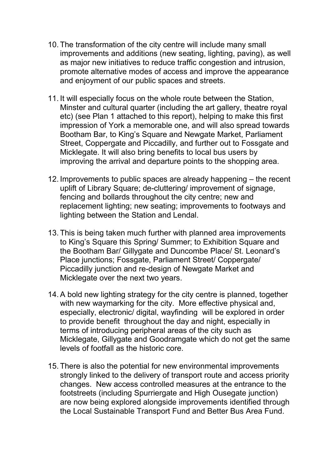- 10. The transformation of the city centre will include many small improvements and additions (new seating, lighting, paving), as well as major new initiatives to reduce traffic congestion and intrusion, promote alternative modes of access and improve the appearance and enjoyment of our public spaces and streets.
- 11. It will especially focus on the whole route between the Station, Minster and cultural quarter (including the art gallery, theatre royal etc) (see Plan 1 attached to this report), helping to make this first impression of York a memorable one, and will also spread towards Bootham Bar, to King's Square and Newgate Market, Parliament Street, Coppergate and Piccadilly, and further out to Fossgate and Micklegate. It will also bring benefits to local bus users by improving the arrival and departure points to the shopping area.
- 12. Improvements to public spaces are already happening the recent uplift of Library Square; de-cluttering/ improvement of signage, fencing and bollards throughout the city centre; new and replacement lighting; new seating; improvements to footways and lighting between the Station and Lendal.
- 13. This is being taken much further with planned area improvements to King's Square this Spring/ Summer; to Exhibition Square and the Bootham Bar/ Gillygate and Duncombe Place/ St. Leonard's Place junctions; Fossgate, Parliament Street/ Coppergate/ Piccadilly junction and re-design of Newgate Market and Micklegate over the next two years.
- 14. A bold new lighting strategy for the city centre is planned, together with new waymarking for the city. More effective physical and, especially, electronic/ digital, wayfinding will be explored in order to provide benefit throughout the day and night, especially in terms of introducing peripheral areas of the city such as Micklegate, Gillygate and Goodramgate which do not get the same levels of footfall as the historic core.
- 15. There is also the potential for new environmental improvements strongly linked to the delivery of transport route and access priority changes. New access controlled measures at the entrance to the footstreets (including Spurriergate and High Ousegate junction) are now being explored alongside improvements identified through the Local Sustainable Transport Fund and Better Bus Area Fund.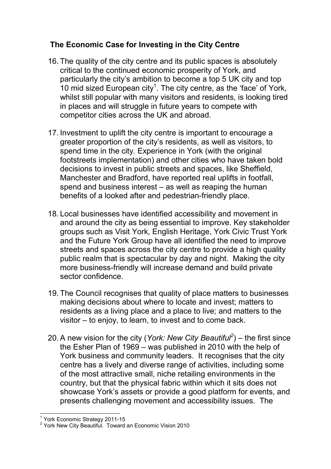## **The Economic Case for Investing in the City Centre**

- 16. The quality of the city centre and its public spaces is absolutely critical to the continued economic prosperity of York, and particularly the city's ambition to become a top 5 UK city and top 10 mid sized European city<sup>1</sup>. The city centre, as the 'face' of York, whilst still popular with many visitors and residents, is looking tired in places and will struggle in future years to compete with competitor cities across the UK and abroad.
- 17. Investment to uplift the city centre is important to encourage a greater proportion of the city's residents, as well as visitors, to spend time in the city. Experience in York (with the original footstreets implementation) and other cities who have taken bold decisions to invest in public streets and spaces, like Sheffield, Manchester and Bradford, have reported real uplifts in footfall, spend and business interest – as well as reaping the human benefits of a looked after and pedestrian-friendly place.
- 18. Local businesses have identified accessibility and movement in and around the city as being essential to improve. Key stakeholder groups such as Visit York, English Heritage, York Civic Trust York and the Future York Group have all identified the need to improve streets and spaces across the city centre to provide a high quality public realm that is spectacular by day and night. Making the city more business-friendly will increase demand and build private sector confidence.
- 19. The Council recognises that quality of place matters to businesses making decisions about where to locate and invest; matters to residents as a living place and a place to live; and matters to the visitor – to enjoy, to learn, to invest and to come back.
- 20. A new vision for the city (*York: New City Beautiful<sup>2</sup>* ) the first since the Esher Plan of 1969 – was published in 2010 with the help of York business and community leaders. It recognises that the city centre has a lively and diverse range of activities, including some of the most attractive small, niche retailing environments in the country, but that the physical fabric within which it sits does not showcase York's assets or provide a good platform for events, and presents challenging movement and accessibility issues. The

 $\overline{a}$ 

<sup>1</sup> York Economic Strategy 2011-15

<sup>&</sup>lt;sup>2</sup> York New City Beautiful. Toward an Economic Vision 2010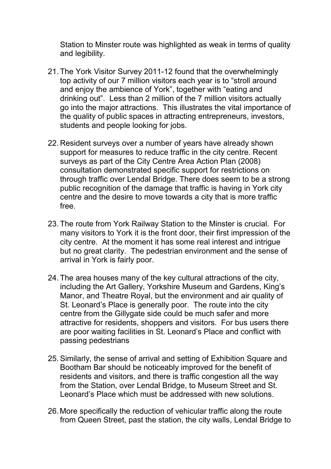Station to Minster route was highlighted as weak in terms of quality and legibility.

- 21. The York Visitor Survey 2011-12 found that the overwhelmingly top activity of our 7 million visitors each year is to "stroll around and enjoy the ambience of York", together with "eating and drinking out". Less than 2 million of the 7 million visitors actually go into the major attractions. This illustrates the vital importance of the quality of public spaces in attracting entrepreneurs, investors, students and people looking for jobs.
- 22. Resident surveys over a number of years have already shown support for measures to reduce traffic in the city centre. Recent surveys as part of the City Centre Area Action Plan (2008) consultation demonstrated specific support for restrictions on through traffic over Lendal Bridge. There does seem to be a strong public recognition of the damage that traffic is having in York city centre and the desire to move towards a city that is more traffic free.
- 23. The route from York Railway Station to the Minster is crucial. For many visitors to York it is the front door, their first impression of the city centre. At the moment it has some real interest and intrigue but no great clarity. The pedestrian environment and the sense of arrival in York is fairly poor.
- 24. The area houses many of the key cultural attractions of the city, including the Art Gallery, Yorkshire Museum and Gardens, King's Manor, and Theatre Royal, but the environment and air quality of St. Leonard's Place is generally poor. The route into the city centre from the Gillygate side could be much safer and more attractive for residents, shoppers and visitors. For bus users there are poor waiting facilities in St. Leonard's Place and conflict with passing pedestrians
- 25. Similarly, the sense of arrival and setting of Exhibition Square and Bootham Bar should be noticeably improved for the benefit of residents and visitors, and there is traffic congestion all the way from the Station, over Lendal Bridge, to Museum Street and St. Leonard's Place which must be addressed with new solutions.
- 26. More specifically the reduction of vehicular traffic along the route from Queen Street, past the station, the city walls, Lendal Bridge to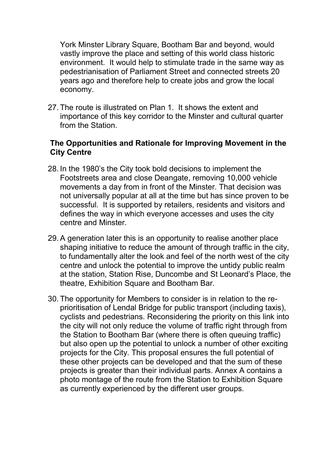York Minster Library Square, Bootham Bar and beyond, would vastly improve the place and setting of this world class historic environment. It would help to stimulate trade in the same way as pedestrianisation of Parliament Street and connected streets 20 years ago and therefore help to create jobs and grow the local economy.

27. The route is illustrated on Plan 1. It shows the extent and importance of this key corridor to the Minster and cultural quarter from the Station.

#### **The Opportunities and Rationale for Improving Movement in the City Centre**

- 28. In the 1980's the City took bold decisions to implement the Footstreets area and close Deangate, removing 10,000 vehicle movements a day from in front of the Minster. That decision was not universally popular at all at the time but has since proven to be successful. It is supported by retailers, residents and visitors and defines the way in which everyone accesses and uses the city centre and Minster.
- 29. A generation later this is an opportunity to realise another place shaping initiative to reduce the amount of through traffic in the city, to fundamentally alter the look and feel of the north west of the city centre and unlock the potential to improve the untidy public realm at the station, Station Rise, Duncombe and St Leonard's Place, the theatre, Exhibition Square and Bootham Bar.
- 30. The opportunity for Members to consider is in relation to the reprioritisation of Lendal Bridge for public transport (including taxis), cyclists and pedestrians. Reconsidering the priority on this link into the city will not only reduce the volume of traffic right through from the Station to Bootham Bar (where there is often queuing traffic) but also open up the potential to unlock a number of other exciting projects for the City. This proposal ensures the full potential of these other projects can be developed and that the sum of these projects is greater than their individual parts. Annex A contains a photo montage of the route from the Station to Exhibition Square as currently experienced by the different user groups.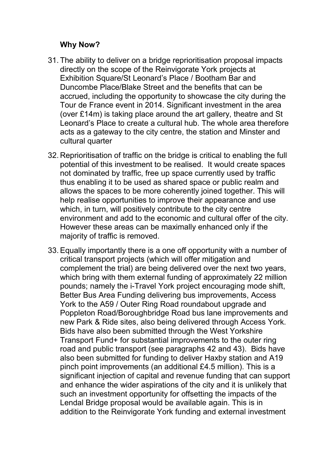#### **Why Now?**

- 31. The ability to deliver on a bridge reprioritisation proposal impacts directly on the scope of the Reinvigorate York projects at Exhibition Square/St Leonard's Place / Bootham Bar and Duncombe Place/Blake Street and the benefits that can be accrued, including the opportunity to showcase the city during the Tour de France event in 2014. Significant investment in the area (over £14m) is taking place around the art gallery, theatre and St Leonard's Place to create a cultural hub. The whole area therefore acts as a gateway to the city centre, the station and Minster and cultural quarter
- 32. Reprioritisation of traffic on the bridge is critical to enabling the full potential of this investment to be realised. It would create spaces not dominated by traffic, free up space currently used by traffic thus enabling it to be used as shared space or public realm and allows the spaces to be more coherently joined together. This will help realise opportunities to improve their appearance and use which, in turn, will positively contribute to the city centre environment and add to the economic and cultural offer of the city. However these areas can be maximally enhanced only if the majority of traffic is removed.
- 33. Equally importantly there is a one off opportunity with a number of critical transport projects (which will offer mitigation and complement the trial) are being delivered over the next two years, which bring with them external funding of approximately 22 million pounds; namely the i-Travel York project encouraging mode shift, Better Bus Area Funding delivering bus improvements, Access York to the A59 / Outer Ring Road roundabout upgrade and Poppleton Road/Boroughbridge Road bus lane improvements and new Park & Ride sites, also being delivered through Access York. Bids have also been submitted through the West Yorkshire Transport Fund+ for substantial improvements to the outer ring road and public transport (see paragraphs 42 and 43). Bids have also been submitted for funding to deliver Haxby station and A19 pinch point improvements (an additional £4.5 million). This is a significant injection of capital and revenue funding that can support and enhance the wider aspirations of the city and it is unlikely that such an investment opportunity for offsetting the impacts of the Lendal Bridge proposal would be available again. This is in addition to the Reinvigorate York funding and external investment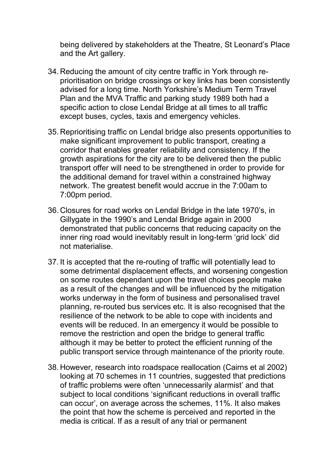being delivered by stakeholders at the Theatre, St Leonard's Place and the Art gallery.

- 34. Reducing the amount of city centre traffic in York through reprioritisation on bridge crossings or key links has been consistently advised for a long time. North Yorkshire's Medium Term Travel Plan and the MVA Traffic and parking study 1989 both had a specific action to close Lendal Bridge at all times to all traffic except buses, cycles, taxis and emergency vehicles.
- 35. Reprioritising traffic on Lendal bridge also presents opportunities to make significant improvement to public transport, creating a corridor that enables greater reliability and consistency. If the growth aspirations for the city are to be delivered then the public transport offer will need to be strengthened in order to provide for the additional demand for travel within a constrained highway network. The greatest benefit would accrue in the 7:00am to 7:00pm period.
- 36. Closures for road works on Lendal Bridge in the late 1970's, in Gillygate in the 1990's and Lendal Bridge again in 2000 demonstrated that public concerns that reducing capacity on the inner ring road would inevitably result in long-term 'grid lock' did not materialise.
- 37. It is accepted that the re-routing of traffic will potentially lead to some detrimental displacement effects, and worsening congestion on some routes dependant upon the travel choices people make as a result of the changes and will be influenced by the mitigation works underway in the form of business and personalised travel planning, re-routed bus services etc. It is also recognised that the resilience of the network to be able to cope with incidents and events will be reduced. In an emergency it would be possible to remove the restriction and open the bridge to general traffic although it may be better to protect the efficient running of the public transport service through maintenance of the priority route.
- 38. However, research into roadspace reallocation (Cairns et al 2002) looking at 70 schemes in 11 countries, suggested that predictions of traffic problems were often 'unnecessarily alarmist' and that subject to local conditions 'significant reductions in overall traffic can occur', on average across the schemes, 11%. It also makes the point that how the scheme is perceived and reported in the media is critical. If as a result of any trial or permanent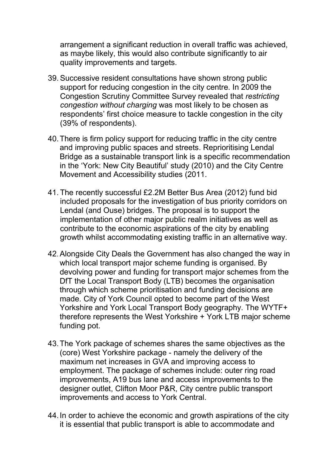arrangement a significant reduction in overall traffic was achieved, as maybe likely, this would also contribute significantly to air quality improvements and targets.

- 39. Successive resident consultations have shown strong public support for reducing congestion in the city centre. In 2009 the Congestion Scrutiny Committee Survey revealed that *restricting congestion without charging* was most likely to be chosen as respondents' first choice measure to tackle congestion in the city (39% of respondents).
- 40. There is firm policy support for reducing traffic in the city centre and improving public spaces and streets. Reprioritising Lendal Bridge as a sustainable transport link is a specific recommendation in the 'York: New City Beautiful' study (2010) and the City Centre Movement and Accessibility studies (2011.
- 41. The recently successful £2.2M Better Bus Area (2012) fund bid included proposals for the investigation of bus priority corridors on Lendal (and Ouse) bridges. The proposal is to support the implementation of other major public realm initiatives as well as contribute to the economic aspirations of the city by enabling growth whilst accommodating existing traffic in an alternative way.
- 42. Alongside City Deals the Government has also changed the way in which local transport major scheme funding is organised. By devolving power and funding for transport major schemes from the DfT the Local Transport Body (LTB) becomes the organisation through which scheme prioritisation and funding decisions are made. City of York Council opted to become part of the West Yorkshire and York Local Transport Body geography. The WYTF+ therefore represents the West Yorkshire + York LTB major scheme funding pot.
- 43. The York package of schemes shares the same objectives as the (core) West Yorkshire package - namely the delivery of the maximum net increases in GVA and improving access to employment. The package of schemes include: outer ring road improvements, A19 bus lane and access improvements to the designer outlet, Clifton Moor P&R, City centre public transport improvements and access to York Central.
- 44. In order to achieve the economic and growth aspirations of the city it is essential that public transport is able to accommodate and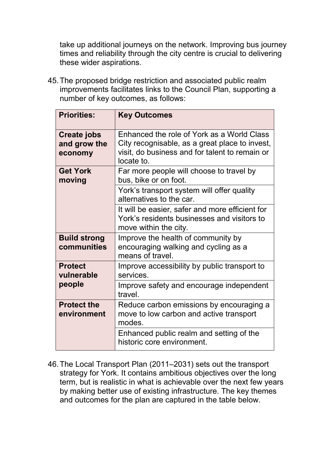take up additional journeys on the network. Improving bus journey times and reliability through the city centre is crucial to delivering these wider aspirations.

45. The proposed bridge restriction and associated public realm improvements facilitates links to the Council Plan, supporting a number of key outcomes, as follows:

| <b>Priorities:</b>                            | <b>Key Outcomes</b>                                                                                                                                          |
|-----------------------------------------------|--------------------------------------------------------------------------------------------------------------------------------------------------------------|
| <b>Create jobs</b><br>and grow the<br>economy | Enhanced the role of York as a World Class<br>City recognisable, as a great place to invest,<br>visit, do business and for talent to remain or<br>locate to. |
| <b>Get York</b><br>moving                     | Far more people will choose to travel by<br>bus, bike or on foot.                                                                                            |
|                                               | York's transport system will offer quality<br>alternatives to the car.                                                                                       |
|                                               | It will be easier, safer and more efficient for<br>York's residents businesses and visitors to<br>move within the city.                                      |
| <b>Build strong</b><br>communities            | Improve the health of community by<br>encouraging walking and cycling as a<br>means of travel.                                                               |
| <b>Protect</b><br>vulnerable                  | Improve accessibility by public transport to<br>services.                                                                                                    |
| people                                        | Improve safety and encourage independent<br>travel.                                                                                                          |
| <b>Protect the</b><br>environment             | Reduce carbon emissions by encouraging a<br>move to low carbon and active transport<br>modes.                                                                |
|                                               | Enhanced public realm and setting of the<br>historic core environment.                                                                                       |

46. The Local Transport Plan (2011–2031) sets out the transport strategy for York. It contains ambitious objectives over the long term, but is realistic in what is achievable over the next few years by making better use of existing infrastructure. The key themes and outcomes for the plan are captured in the table below.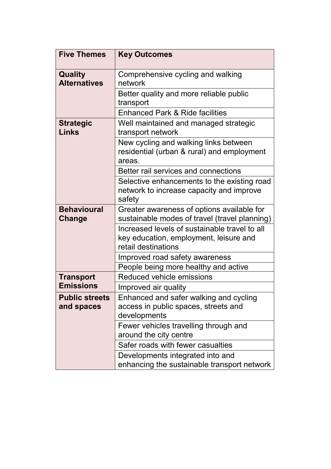| <b>Five Themes</b>                    | <b>Key Outcomes</b>                                                                                            |
|---------------------------------------|----------------------------------------------------------------------------------------------------------------|
| <b>Quality</b><br><b>Alternatives</b> | Comprehensive cycling and walking<br>network                                                                   |
|                                       | Better quality and more reliable public<br>transport                                                           |
|                                       | <b>Enhanced Park &amp; Ride facilities</b>                                                                     |
| <b>Strategic</b><br>Links             | Well maintained and managed strategic<br>transport network                                                     |
|                                       | New cycling and walking links between<br>residential (urban & rural) and employment<br>areas.                  |
|                                       | Better rail services and connections                                                                           |
|                                       | Selective enhancements to the existing road<br>network to increase capacity and improve<br>safety              |
| <b>Behavioural</b><br>Change          | Greater awareness of options available for<br>sustainable modes of travel (travel planning)                    |
|                                       | Increased levels of sustainable travel to all<br>key education, employment, leisure and<br>retail destinations |
|                                       | Improved road safety awareness                                                                                 |
|                                       | People being more healthy and active                                                                           |
| <b>Transport</b>                      | Reduced vehicle emissions                                                                                      |
| <b>Emissions</b>                      | Improved air quality                                                                                           |
| <b>Public streets</b><br>and spaces   | Enhanced and safer walking and cycling<br>access in public spaces, streets and<br>developments                 |
|                                       | Fewer vehicles travelling through and<br>around the city centre                                                |
|                                       | Safer roads with fewer casualties                                                                              |
|                                       | Developments integrated into and<br>enhancing the sustainable transport network                                |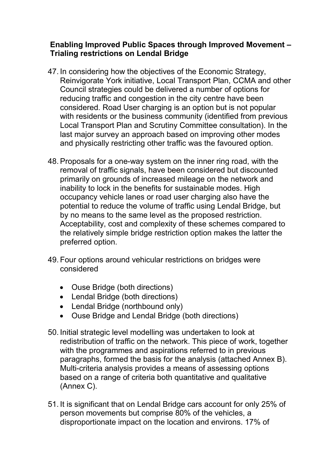#### **Enabling Improved Public Spaces through Improved Movement – Trialing restrictions on Lendal Bridge**

- 47. In considering how the objectives of the Economic Strategy, Reinvigorate York initiative, Local Transport Plan, CCMA and other Council strategies could be delivered a number of options for reducing traffic and congestion in the city centre have been considered. Road User charging is an option but is not popular with residents or the business community (identified from previous Local Transport Plan and Scrutiny Committee consultation). In the last major survey an approach based on improving other modes and physically restricting other traffic was the favoured option.
- 48. Proposals for a one-way system on the inner ring road, with the removal of traffic signals, have been considered but discounted primarily on grounds of increased mileage on the network and inability to lock in the benefits for sustainable modes. High occupancy vehicle lanes or road user charging also have the potential to reduce the volume of traffic using Lendal Bridge, but by no means to the same level as the proposed restriction. Acceptability, cost and complexity of these schemes compared to the relatively simple bridge restriction option makes the latter the preferred option.
- 49. Four options around vehicular restrictions on bridges were considered
	- Ouse Bridge (both directions)
	- Lendal Bridge (both directions)
	- Lendal Bridge (northbound only)
	- Ouse Bridge and Lendal Bridge (both directions)
- 50. Initial strategic level modelling was undertaken to look at redistribution of traffic on the network. This piece of work, together with the programmes and aspirations referred to in previous paragraphs, formed the basis for the analysis (attached Annex B). Multi-criteria analysis provides a means of assessing options based on a range of criteria both quantitative and qualitative (Annex C).
- 51. It is significant that on Lendal Bridge cars account for only 25% of person movements but comprise 80% of the vehicles, a disproportionate impact on the location and environs. 17% of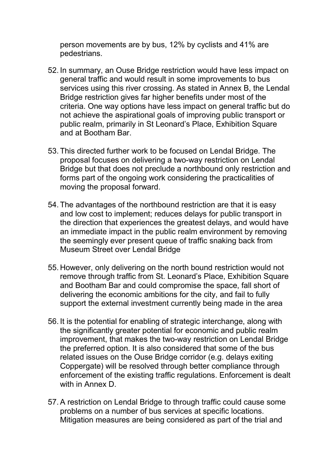person movements are by bus, 12% by cyclists and 41% are pedestrians.

- 52. In summary, an Ouse Bridge restriction would have less impact on general traffic and would result in some improvements to bus services using this river crossing. As stated in Annex B, the Lendal Bridge restriction gives far higher benefits under most of the criteria. One way options have less impact on general traffic but do not achieve the aspirational goals of improving public transport or public realm, primarily in St Leonard's Place, Exhibition Square and at Bootham Bar.
- 53. This directed further work to be focused on Lendal Bridge. The proposal focuses on delivering a two-way restriction on Lendal Bridge but that does not preclude a northbound only restriction and forms part of the ongoing work considering the practicalities of moving the proposal forward.
- 54. The advantages of the northbound restriction are that it is easy and low cost to implement; reduces delays for public transport in the direction that experiences the greatest delays, and would have an immediate impact in the public realm environment by removing the seemingly ever present queue of traffic snaking back from Museum Street over Lendal Bridge
- 55. However, only delivering on the north bound restriction would not remove through traffic from St. Leonard's Place, Exhibition Square and Bootham Bar and could compromise the space, fall short of delivering the economic ambitions for the city, and fail to fully support the external investment currently being made in the area
- 56. It is the potential for enabling of strategic interchange, along with the significantly greater potential for economic and public realm improvement, that makes the two-way restriction on Lendal Bridge the preferred option. It is also considered that some of the bus related issues on the Ouse Bridge corridor (e.g. delays exiting Coppergate) will be resolved through better compliance through enforcement of the existing traffic regulations. Enforcement is dealt with in Annex D.
- 57. A restriction on Lendal Bridge to through traffic could cause some problems on a number of bus services at specific locations. Mitigation measures are being considered as part of the trial and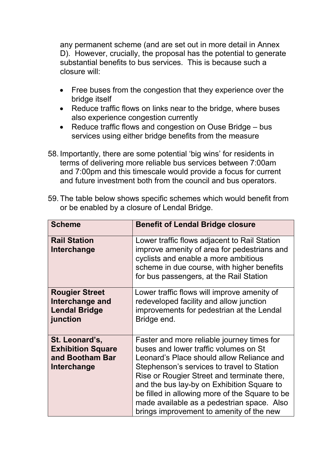any permanent scheme (and are set out in more detail in Annex D). However, crucially, the proposal has the potential to generate substantial benefits to bus services. This is because such a closure will:

- Free buses from the congestion that they experience over the bridge itself
- Reduce traffic flows on links near to the bridge, where buses also experience congestion currently
- Reduce traffic flows and congestion on Ouse Bridge bus services using either bridge benefits from the measure
- 58. Importantly, there are some potential 'big wins' for residents in terms of delivering more reliable bus services between 7:00am and 7:00pm and this timescale would provide a focus for current and future investment both from the council and bus operators.

| 59. The table below shows specific schemes which would benefit from |
|---------------------------------------------------------------------|
| or be enabled by a closure of Lendal Bridge.                        |

| <b>Scheme</b>                                                                | <b>Benefit of Lendal Bridge closure</b>                                                                                                                                                                                                                                                                                                                                                                                 |
|------------------------------------------------------------------------------|-------------------------------------------------------------------------------------------------------------------------------------------------------------------------------------------------------------------------------------------------------------------------------------------------------------------------------------------------------------------------------------------------------------------------|
| <b>Rail Station</b><br>Interchange                                           | Lower traffic flows adjacent to Rail Station<br>improve amenity of area for pedestrians and<br>cyclists and enable a more ambitious<br>scheme in due course, with higher benefits<br>for bus passengers, at the Rail Station                                                                                                                                                                                            |
| <b>Rougier Street</b><br>Interchange and<br><b>Lendal Bridge</b><br>junction | Lower traffic flows will improve amenity of<br>redeveloped facility and allow junction<br>improvements for pedestrian at the Lendal<br>Bridge end.                                                                                                                                                                                                                                                                      |
| St. Leonard's,<br><b>Exhibition Square</b><br>and Bootham Bar<br>Interchange | Faster and more reliable journey times for<br>buses and lower traffic volumes on St<br>Leonard's Place should allow Reliance and<br>Stephenson's services to travel to Station<br>Rise or Rougier Street and terminate there,<br>and the bus lay-by on Exhibition Square to<br>be filled in allowing more of the Square to be<br>made available as a pedestrian space. Also<br>brings improvement to amenity of the new |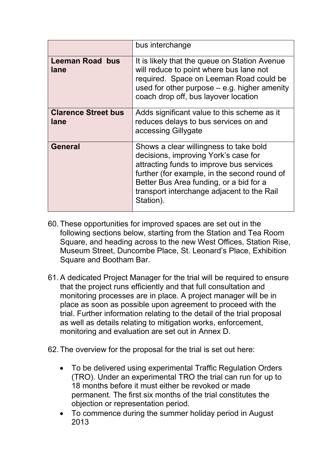|                                    | bus interchange                                                                                                                                                                                                                                                                  |
|------------------------------------|----------------------------------------------------------------------------------------------------------------------------------------------------------------------------------------------------------------------------------------------------------------------------------|
| <b>Leeman Road bus</b><br>lane     | It is likely that the queue on Station Avenue<br>will reduce to point where bus lane not<br>required. Space on Leeman Road could be<br>used for other purpose $-$ e.g. higher amenity<br>coach drop off, bus layover location                                                    |
| <b>Clarence Street bus</b><br>lane | Adds significant value to this scheme as it<br>reduces delays to bus services on and<br>accessing Gillygate                                                                                                                                                                      |
| <b>General</b>                     | Shows a clear willingness to take bold<br>decisions, improving York's case for<br>attracting funds to improve bus services<br>further (for example, in the second round of<br>Better Bus Area funding, or a bid for a<br>transport interchange adjacent to the Rail<br>Station). |

- 60. These opportunities for improved spaces are set out in the following sections below, starting from the Station and Tea Room Square, and heading across to the new West Offices, Station Rise, Museum Street, Duncombe Place, St. Leonard's Place, Exhibition Square and Bootham Bar.
- 61. A dedicated Project Manager for the trial will be required to ensure that the project runs efficiently and that full consultation and monitoring processes are in place. A project manager will be in place as soon as possible upon agreement to proceed with the trial. Further information relating to the detail of the trial proposal as well as details relating to mitigation works, enforcement, monitoring and evaluation are set out in Annex D.
- 62. The overview for the proposal for the trial is set out here:
	- To be delivered using experimental Traffic Regulation Orders (TRO). Under an experimental TRO the trial can run for up to 18 months before it must either be revoked or made permanent. The first six months of the trial constitutes the objection or representation period.
	- To commence during the summer holiday period in August 2013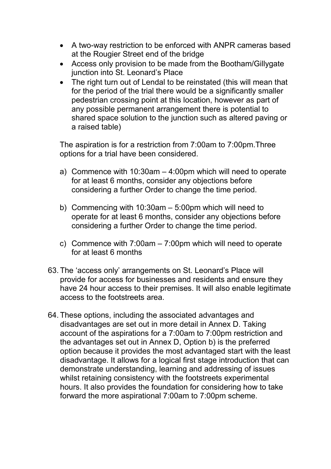- A two-way restriction to be enforced with ANPR cameras based at the Rougier Street end of the bridge
- Access only provision to be made from the Bootham/Gillygate junction into St. Leonard's Place
- The right turn out of Lendal to be reinstated (this will mean that for the period of the trial there would be a significantly smaller pedestrian crossing point at this location, however as part of any possible permanent arrangement there is potential to shared space solution to the junction such as altered paving or a raised table)

The aspiration is for a restriction from 7:00am to 7:00pm.Three options for a trial have been considered.

- a) Commence with 10:30am 4:00pm which will need to operate for at least 6 months, consider any objections before considering a further Order to change the time period.
- b) Commencing with 10:30am 5:00pm which will need to operate for at least 6 months, consider any objections before considering a further Order to change the time period.
- c) Commence with 7:00am 7:00pm which will need to operate for at least 6 months
- 63. The 'access only' arrangements on St. Leonard's Place will provide for access for businesses and residents and ensure they have 24 hour access to their premises. It will also enable legitimate access to the footstreets area.
- 64. These options, including the associated advantages and disadvantages are set out in more detail in Annex D. Taking account of the aspirations for a 7:00am to 7:00pm restriction and the advantages set out in Annex D, Option b) is the preferred option because it provides the most advantaged start with the least disadvantage. It allows for a logical first stage introduction that can demonstrate understanding, learning and addressing of issues whilst retaining consistency with the footstreets experimental hours. It also provides the foundation for considering how to take forward the more aspirational 7:00am to 7:00pm scheme.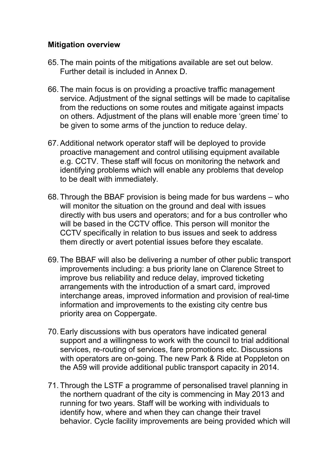#### **Mitigation overview**

- 65. The main points of the mitigations available are set out below. Further detail is included in Annex D.
- 66. The main focus is on providing a proactive traffic management service. Adjustment of the signal settings will be made to capitalise from the reductions on some routes and mitigate against impacts on others. Adjustment of the plans will enable more 'green time' to be given to some arms of the junction to reduce delay.
- 67. Additional network operator staff will be deployed to provide proactive management and control utilising equipment available e.g. CCTV. These staff will focus on monitoring the network and identifying problems which will enable any problems that develop to be dealt with immediately.
- 68. Through the BBAF provision is being made for bus wardens who will monitor the situation on the ground and deal with issues directly with bus users and operators; and for a bus controller who will be based in the CCTV office. This person will monitor the CCTV specifically in relation to bus issues and seek to address them directly or avert potential issues before they escalate.
- 69. The BBAF will also be delivering a number of other public transport improvements including: a bus priority lane on Clarence Street to improve bus reliability and reduce delay, improved ticketing arrangements with the introduction of a smart card, improved interchange areas, improved information and provision of real-time information and improvements to the existing city centre bus priority area on Coppergate.
- 70. Early discussions with bus operators have indicated general support and a willingness to work with the council to trial additional services, re-routing of services, fare promotions etc. Discussions with operators are on-going. The new Park & Ride at Poppleton on the A59 will provide additional public transport capacity in 2014.
- 71. Through the LSTF a programme of personalised travel planning in the northern quadrant of the city is commencing in May 2013 and running for two years. Staff will be working with individuals to identify how, where and when they can change their travel behavior. Cycle facility improvements are being provided which will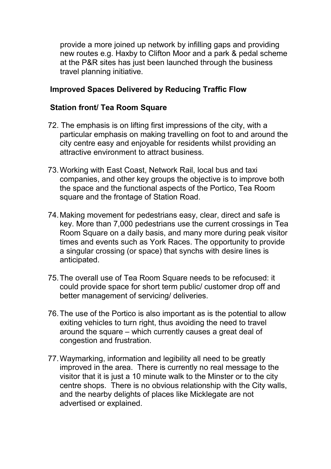provide a more joined up network by infilling gaps and providing new routes e.g. Haxby to Clifton Moor and a park & pedal scheme at the P&R sites has just been launched through the business travel planning initiative.

#### **Improved Spaces Delivered by Reducing Traffic Flow**

#### **Station front/ Tea Room Square**

- 72. The emphasis is on lifting first impressions of the city, with a particular emphasis on making travelling on foot to and around the city centre easy and enjoyable for residents whilst providing an attractive environment to attract business.
- 73. Working with East Coast, Network Rail, local bus and taxi companies, and other key groups the objective is to improve both the space and the functional aspects of the Portico, Tea Room square and the frontage of Station Road.
- 74. Making movement for pedestrians easy, clear, direct and safe is key. More than 7,000 pedestrians use the current crossings in Tea Room Square on a daily basis, and many more during peak visitor times and events such as York Races. The opportunity to provide a singular crossing (or space) that synchs with desire lines is anticipated.
- 75. The overall use of Tea Room Square needs to be refocused: it could provide space for short term public/ customer drop off and better management of servicing/ deliveries.
- 76. The use of the Portico is also important as is the potential to allow exiting vehicles to turn right, thus avoiding the need to travel around the square – which currently causes a great deal of congestion and frustration.
- 77. Waymarking, information and legibility all need to be greatly improved in the area. There is currently no real message to the visitor that it is just a 10 minute walk to the Minster or to the city centre shops. There is no obvious relationship with the City walls, and the nearby delights of places like Micklegate are not advertised or explained.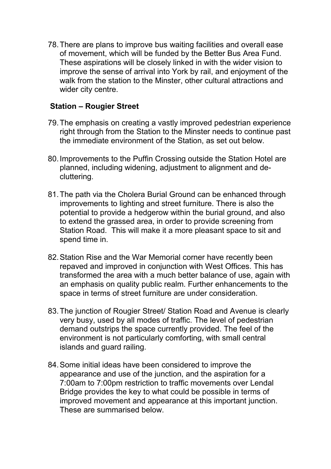78. There are plans to improve bus waiting facilities and overall ease of movement, which will be funded by the Better Bus Area Fund. These aspirations will be closely linked in with the wider vision to improve the sense of arrival into York by rail, and enjoyment of the walk from the station to the Minster, other cultural attractions and wider city centre.

#### **Station – Rougier Street**

- 79. The emphasis on creating a vastly improved pedestrian experience right through from the Station to the Minster needs to continue past the immediate environment of the Station, as set out below.
- 80. Improvements to the Puffin Crossing outside the Station Hotel are planned, including widening, adjustment to alignment and decluttering.
- 81. The path via the Cholera Burial Ground can be enhanced through improvements to lighting and street furniture. There is also the potential to provide a hedgerow within the burial ground, and also to extend the grassed area, in order to provide screening from Station Road. This will make it a more pleasant space to sit and spend time in.
- 82. Station Rise and the War Memorial corner have recently been repaved and improved in conjunction with West Offices. This has transformed the area with a much better balance of use, again with an emphasis on quality public realm. Further enhancements to the space in terms of street furniture are under consideration.
- 83. The junction of Rougier Street/ Station Road and Avenue is clearly very busy, used by all modes of traffic. The level of pedestrian demand outstrips the space currently provided. The feel of the environment is not particularly comforting, with small central islands and guard railing.
- 84. Some initial ideas have been considered to improve the appearance and use of the junction, and the aspiration for a 7:00am to 7:00pm restriction to traffic movements over Lendal Bridge provides the key to what could be possible in terms of improved movement and appearance at this important junction. These are summarised below.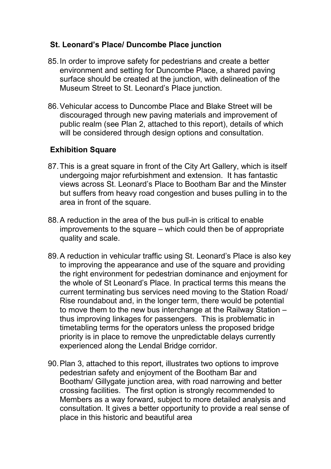#### **St. Leonard's Place/ Duncombe Place junction**

- 85. In order to improve safety for pedestrians and create a better environment and setting for Duncombe Place, a shared paving surface should be created at the junction, with delineation of the Museum Street to St. Leonard's Place junction.
- 86. Vehicular access to Duncombe Place and Blake Street will be discouraged through new paving materials and improvement of public realm (see Plan 2, attached to this report), details of which will be considered through design options and consultation.

#### **Exhibition Square**

- 87. This is a great square in front of the City Art Gallery, which is itself undergoing major refurbishment and extension. It has fantastic views across St. Leonard's Place to Bootham Bar and the Minster but suffers from heavy road congestion and buses pulling in to the area in front of the square.
- 88. A reduction in the area of the bus pull-in is critical to enable improvements to the square – which could then be of appropriate quality and scale.
- 89. A reduction in vehicular traffic using St. Leonard's Place is also key to improving the appearance and use of the square and providing the right environment for pedestrian dominance and enjoyment for the whole of St Leonard's Place. In practical terms this means the current terminating bus services need moving to the Station Road/ Rise roundabout and, in the longer term, there would be potential to move them to the new bus interchange at the Railway Station – thus improving linkages for passengers. This is problematic in timetabling terms for the operators unless the proposed bridge priority is in place to remove the unpredictable delays currently experienced along the Lendal Bridge corridor.
- 90. Plan 3, attached to this report, illustrates two options to improve pedestrian safety and enjoyment of the Bootham Bar and Bootham/ Gillygate junction area, with road narrowing and better crossing facilities. The first option is strongly recommended to Members as a way forward, subject to more detailed analysis and consultation. It gives a better opportunity to provide a real sense of place in this historic and beautiful area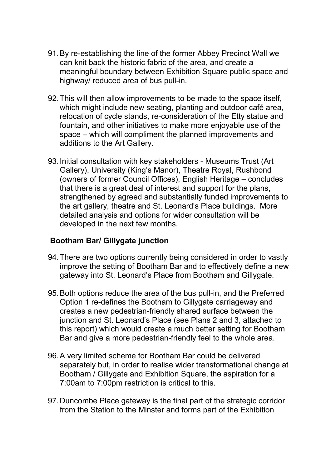- 91. By re-establishing the line of the former Abbey Precinct Wall we can knit back the historic fabric of the area, and create a meaningful boundary between Exhibition Square public space and highway/ reduced area of bus pull-in.
- 92. This will then allow improvements to be made to the space itself, which might include new seating, planting and outdoor café area, relocation of cycle stands, re-consideration of the Etty statue and fountain, and other initiatives to make more enjoyable use of the space – which will compliment the planned improvements and additions to the Art Gallery.
- 93. Initial consultation with key stakeholders Museums Trust (Art Gallery), University (King's Manor), Theatre Royal, Rushbond (owners of former Council Offices), English Heritage – concludes that there is a great deal of interest and support for the plans, strengthened by agreed and substantially funded improvements to the art gallery, theatre and St. Leonard's Place buildings. More detailed analysis and options for wider consultation will be developed in the next few months.

#### **Bootham Bar/ Gillygate junction**

- 94. There are two options currently being considered in order to vastly improve the setting of Bootham Bar and to effectively define a new gateway into St. Leonard's Place from Bootham and Gillygate.
- 95. Both options reduce the area of the bus pull-in, and the Preferred Option 1 re-defines the Bootham to Gillygate carriageway and creates a new pedestrian-friendly shared surface between the junction and St. Leonard's Place (see Plans 2 and 3, attached to this report) which would create a much better setting for Bootham Bar and give a more pedestrian-friendly feel to the whole area.
- 96. A very limited scheme for Bootham Bar could be delivered separately but, in order to realise wider transformational change at Bootham / Gillygate and Exhibition Square, the aspiration for a 7:00am to 7:00pm restriction is critical to this.
- 97. Duncombe Place gateway is the final part of the strategic corridor from the Station to the Minster and forms part of the Exhibition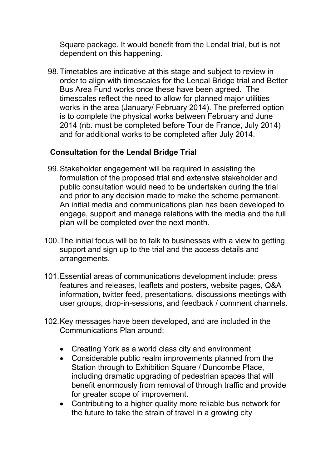Square package. It would benefit from the Lendal trial, but is not dependent on this happening.

98. Timetables are indicative at this stage and subject to review in order to align with timescales for the Lendal Bridge trial and Better Bus Area Fund works once these have been agreed. The timescales reflect the need to allow for planned major utilities works in the area (January/ February 2014). The preferred option is to complete the physical works between February and June 2014 (nb. must be completed before Tour de France, July 2014) and for additional works to be completed after July 2014.

#### **Consultation for the Lendal Bridge Trial**

- 99. Stakeholder engagement will be required in assisting the formulation of the proposed trial and extensive stakeholder and public consultation would need to be undertaken during the trial and prior to any decision made to make the scheme permanent. An initial media and communications plan has been developed to engage, support and manage relations with the media and the full plan will be completed over the next month.
- 100. The initial focus will be to talk to businesses with a view to getting support and sign up to the trial and the access details and arrangements.
- 101. Essential areas of communications development include: press features and releases, leaflets and posters, website pages, Q&A information, twitter feed, presentations, discussions meetings with user groups, drop-in-sessions, and feedback / comment channels.
- 102. Key messages have been developed, and are included in the Communications Plan around:
	- Creating York as a world class city and environment
	- Considerable public realm improvements planned from the Station through to Exhibition Square / Duncombe Place, including dramatic upgrading of pedestrian spaces that will benefit enormously from removal of through traffic and provide for greater scope of improvement.
	- Contributing to a higher quality more reliable bus network for the future to take the strain of travel in a growing city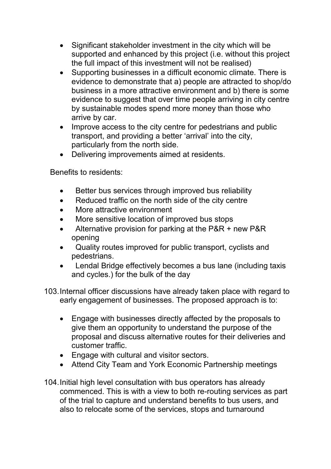- Significant stakeholder investment in the city which will be supported and enhanced by this project (i.e. without this project the full impact of this investment will not be realised)
- Supporting businesses in a difficult economic climate. There is evidence to demonstrate that a) people are attracted to shop/do business in a more attractive environment and b) there is some evidence to suggest that over time people arriving in city centre by sustainable modes spend more money than those who arrive by car.
- Improve access to the city centre for pedestrians and public transport, and providing a better 'arrival' into the city, particularly from the north side.
- Delivering improvements aimed at residents.

Benefits to residents:

- Better bus services through improved bus reliability
- Reduced traffic on the north side of the city centre
- More attractive environment
- More sensitive location of improved bus stops
- Alternative provision for parking at the P&R + new P&R opening
- Quality routes improved for public transport, cyclists and pedestrians.
- Lendal Bridge effectively becomes a bus lane (including taxis and cycles.) for the bulk of the day
- 103. Internal officer discussions have already taken place with regard to early engagement of businesses. The proposed approach is to:
	- Engage with businesses directly affected by the proposals to give them an opportunity to understand the purpose of the proposal and discuss alternative routes for their deliveries and customer traffic.
	- Engage with cultural and visitor sectors.
	- Attend City Team and York Economic Partnership meetings
- 104. Initial high level consultation with bus operators has already commenced. This is with a view to both re-routing services as part of the trial to capture and understand benefits to bus users, and also to relocate some of the services, stops and turnaround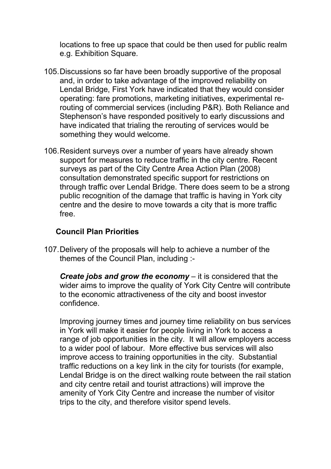locations to free up space that could be then used for public realm e.g. Exhibition Square.

- 105. Discussions so far have been broadly supportive of the proposal and, in order to take advantage of the improved reliability on Lendal Bridge, First York have indicated that they would consider operating: fare promotions, marketing initiatives, experimental rerouting of commercial services (including P&R). Both Reliance and Stephenson's have responded positively to early discussions and have indicated that trialing the rerouting of services would be something they would welcome.
- 106. Resident surveys over a number of years have already shown support for measures to reduce traffic in the city centre. Recent surveys as part of the City Centre Area Action Plan (2008) consultation demonstrated specific support for restrictions on through traffic over Lendal Bridge. There does seem to be a strong public recognition of the damage that traffic is having in York city centre and the desire to move towards a city that is more traffic free.

#### **Council Plan Priorities**

107. Delivery of the proposals will help to achieve a number of the themes of the Council Plan, including :-

*Create jobs and grow the economy* – it is considered that the wider aims to improve the quality of York City Centre will contribute to the economic attractiveness of the city and boost investor confidence.

Improving journey times and journey time reliability on bus services in York will make it easier for people living in York to access a range of job opportunities in the city. It will allow employers access to a wider pool of labour. More effective bus services will also improve access to training opportunities in the city. Substantial traffic reductions on a key link in the city for tourists (for example, Lendal Bridge is on the direct walking route between the rail station and city centre retail and tourist attractions) will improve the amenity of York City Centre and increase the number of visitor trips to the city, and therefore visitor spend levels.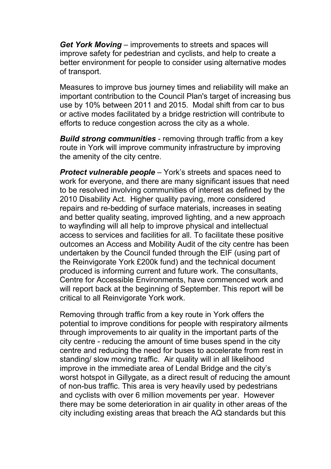*Get York Moving* – improvements to streets and spaces will improve safety for pedestrian and cyclists, and help to create a better environment for people to consider using alternative modes of transport.

Measures to improve bus journey times and reliability will make an important contribution to the Council Plan's target of increasing bus use by 10% between 2011 and 2015. Modal shift from car to bus or active modes facilitated by a bridge restriction will contribute to efforts to reduce congestion across the city as a whole.

*Build strong communities* - removing through traffic from a key route in York will improve community infrastructure by improving the amenity of the city centre.

*Protect vulnerable people* – York's streets and spaces need to work for everyone, and there are many significant issues that need to be resolved involving communities of interest as defined by the 2010 Disability Act. Higher quality paving, more considered repairs and re-bedding of surface materials, increases in seating and better quality seating, improved lighting, and a new approach to wayfinding will all help to improve physical and intellectual access to services and facilities for all. To facilitate these positive outcomes an Access and Mobility Audit of the city centre has been undertaken by the Council funded through the EIF (using part of the Reinvigorate York £200k fund) and the technical document produced is informing current and future work. The consultants, Centre for Accessible Environments, have commenced work and will report back at the beginning of September. This report will be critical to all Reinvigorate York work.

Removing through traffic from a key route in York offers the potential to improve conditions for people with respiratory ailments through improvements to air quality in the important parts of the city centre - reducing the amount of time buses spend in the city centre and reducing the need for buses to accelerate from rest in standing/ slow moving traffic. Air quality will in all likelihood improve in the immediate area of Lendal Bridge and the city's worst hotspot in Gillygate, as a direct result of reducing the amount of non-bus traffic. This area is very heavily used by pedestrians and cyclists with over 6 million movements per year. However there may be some deterioration in air quality in other areas of the city including existing areas that breach the AQ standards but this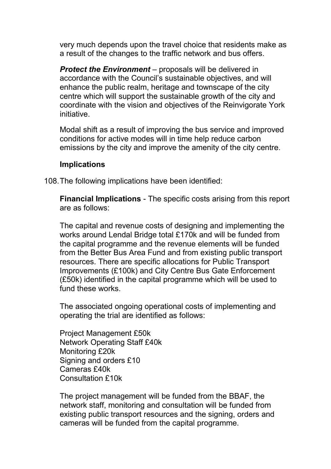very much depends upon the travel choice that residents make as a result of the changes to the traffic network and bus offers.

*Protect the Environment* – proposals will be delivered in accordance with the Council's sustainable objectives, and will enhance the public realm, heritage and townscape of the city centre which will support the sustainable growth of the city and coordinate with the vision and objectives of the Reinvigorate York initiative.

Modal shift as a result of improving the bus service and improved conditions for active modes will in time help reduce carbon emissions by the city and improve the amenity of the city centre.

#### **Implications**

108. The following implications have been identified:

**Financial Implications** - The specific costs arising from this report are as follows:

The capital and revenue costs of designing and implementing the works around Lendal Bridge total £170k and will be funded from the capital programme and the revenue elements will be funded from the Better Bus Area Fund and from existing public transport resources. There are specific allocations for Public Transport Improvements (£100k) and City Centre Bus Gate Enforcement (£50k) identified in the capital programme which will be used to fund these works.

The associated ongoing operational costs of implementing and operating the trial are identified as follows:

Project Management £50k Network Operating Staff £40k Monitoring £20k Signing and orders £10 Cameras £40k Consultation £10k

The project management will be funded from the BBAF, the network staff, monitoring and consultation will be funded from existing public transport resources and the signing, orders and cameras will be funded from the capital programme.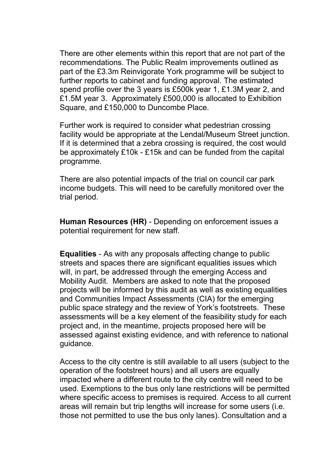There are other elements within this report that are not part of the recommendations. The Public Realm improvements outlined as part of the £3.3m Reinvigorate York programme will be subject to further reports to cabinet and funding approval. The estimated spend profile over the 3 years is £500k year 1, £1.3M year 2, and £1.5M year 3. Approximately £500,000 is allocated to Exhibition Square, and £150,000 to Duncombe Place.

Further work is required to consider what pedestrian crossing facility would be appropriate at the Lendal/Museum Street junction. If it is determined that a zebra crossing is required, the cost would be approximately £10k - £15k and can be funded from the capital programme.

There are also potential impacts of the trial on council car park income budgets. This will need to be carefully monitored over the trial period.

**Human Resources (HR)** - Depending on enforcement issues a potential requirement for new staff.

**Equalities** - As with any proposals affecting change to public streets and spaces there are significant equalities issues which will, in part, be addressed through the emerging Access and Mobility Audit. Members are asked to note that the proposed projects will be informed by this audit as well as existing equalities and Communities Impact Assessments (CIA) for the emerging public space strategy and the review of York's footstreets. These assessments will be a key element of the feasibility study for each project and, in the meantime, projects proposed here will be assessed against existing evidence, and with reference to national guidance.

Access to the city centre is still available to all users (subject to the operation of the footstreet hours) and all users are equally impacted where a different route to the city centre will need to be used. Exemptions to the bus only lane restrictions will be permitted where specific access to premises is required. Access to all current areas will remain but trip lengths will increase for some users (i.e. those not permitted to use the bus only lanes). Consultation and a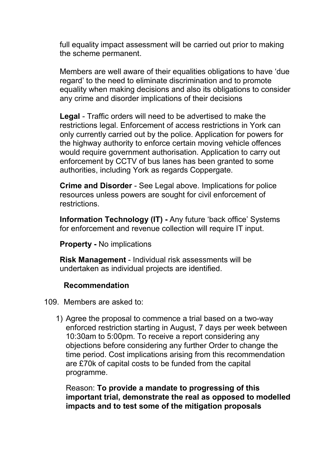full equality impact assessment will be carried out prior to making the scheme permanent.

Members are well aware of their equalities obligations to have 'due regard' to the need to eliminate discrimination and to promote equality when making decisions and also its obligations to consider any crime and disorder implications of their decisions

**Legal** - Traffic orders will need to be advertised to make the restrictions legal. Enforcement of access restrictions in York can only currently carried out by the police. Application for powers for the highway authority to enforce certain moving vehicle offences would require government authorisation. Application to carry out enforcement by CCTV of bus lanes has been granted to some authorities, including York as regards Coppergate.

 **Crime and Disorder** - See Legal above. Implications for police resources unless powers are sought for civil enforcement of restrictions.

**Information Technology (IT) -** Any future 'back office' Systems for enforcement and revenue collection will require IT input.

**Property -** No implications

**Risk Management** - Individual risk assessments will be undertaken as individual projects are identified.

#### **Recommendation**

109. Members are asked to:

1) Agree the proposal to commence a trial based on a two-way enforced restriction starting in August, 7 days per week between 10:30am to 5:00pm. To receive a report considering any objections before considering any further Order to change the time period. Cost implications arising from this recommendation are £70k of capital costs to be funded from the capital programme.

Reason: **To provide a mandate to progressing of this important trial, demonstrate the real as opposed to modelled impacts and to test some of the mitigation proposals**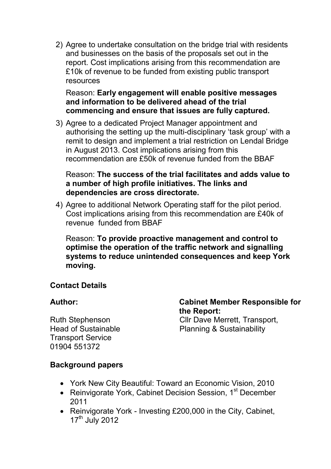2) Agree to undertake consultation on the bridge trial with residents and businesses on the basis of the proposals set out in the report. Cost implications arising from this recommendation are £10k of revenue to be funded from existing public transport resources

#### Reason: **Early engagement will enable positive messages and information to be delivered ahead of the trial commencing and ensure that issues are fully captured.**

3) Agree to a dedicated Project Manager appointment and authorising the setting up the multi-disciplinary 'task group' with a remit to design and implement a trial restriction on Lendal Bridge in August 2013. Cost implications arising from this recommendation are £50k of revenue funded from the BBAF

#### Reason: **The success of the trial facilitates and adds value to a number of high profile initiatives. The links and dependencies are cross directorate.**

4) Agree to additional Network Operating staff for the pilot period. Cost implications arising from this recommendation are £40k of revenue funded from BBAF

Reason: **To provide proactive management and control to optimise the operation of the traffic network and signalling systems to reduce unintended consequences and keep York moving.**

### **Contact Details**

Ruth Stephenson Head of Sustainable Transport Service 01904 551372

**Author: Cabinet Member Responsible for the Report:**  Cllr Dave Merrett, Transport, Planning & Sustainability

### **Background papers**

- York New City Beautiful: Toward an Economic Vision, 2010
- Reinvigorate York, Cabinet Decision Session, 1<sup>st</sup> December 2011
- Reinvigorate York Investing £200,000 in the City, Cabinet,  $17<sup>th</sup>$  July 2012